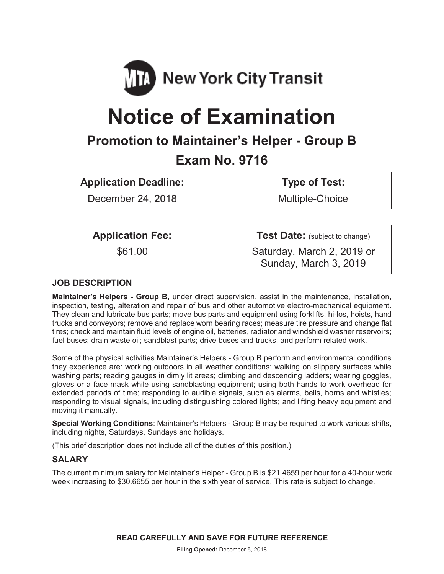

# **Notice of Examination**

# **Promotion to Maintainer's Helper - Group B**

# **Exam No. 9716**

**Application Deadline:** 

December 24, 2018

**Type of Test:** 

Multiple-Choice

# **Application Fee:**

\$61.00

**Test Date:** (subject to change)

Saturday, March 2, 2019 or Sunday, March 3, 2019

# **JOB DESCRIPTION**

**Maintainer's Helpers - Group B,** under direct supervision, assist in the maintenance, installation, inspection, testing, alteration and repair of bus and other automotive electro-mechanical equipment. They clean and lubricate bus parts; move bus parts and equipment using forklifts, hi-los, hoists, hand trucks and conveyors; remove and replace worn bearing races; measure tire pressure and change flat tires; check and maintain fluid levels of engine oil, batteries, radiator and windshield washer reservoirs; fuel buses; drain waste oil; sandblast parts; drive buses and trucks; and perform related work.

Some of the physical activities Maintainer's Helpers - Group B perform and environmental conditions they experience are: working outdoors in all weather conditions; walking on slippery surfaces while washing parts; reading gauges in dimly lit areas; climbing and descending ladders; wearing goggles, gloves or a face mask while using sandblasting equipment; using both hands to work overhead for extended periods of time; responding to audible signals, such as alarms, bells, horns and whistles; responding to visual signals, including distinguishing colored lights; and lifting heavy equipment and moving it manually.

**Special Working Conditions**: Maintainer's Helpers - Group B may be required to work various shifts, including nights, Saturdays, Sundays and holidays.

(This brief description does not include all of the duties of this position.)

# **SALARY**

The current minimum salary for Maintainer's Helper - Group B is \$21.4659 per hour for a 40-hour work week increasing to \$30.6655 per hour in the sixth year of service. This rate is subject to change.

**READ CAREFULLY AND SAVE FOR FUTURE REFERENCE**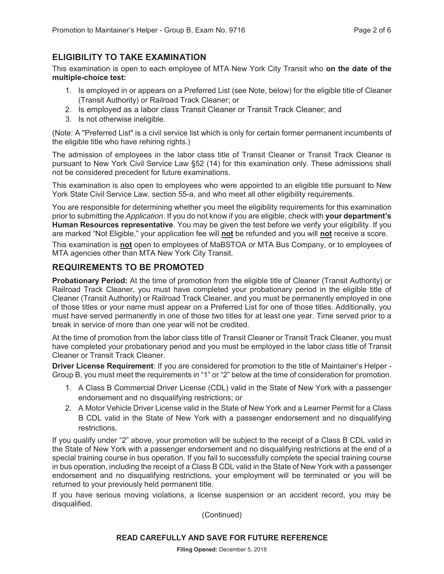#### **ELIGIBILITY TO TAKE EXAMINATION**

This examination is open to each employee of MTA New York City Transit who **on the date of the multiple-choice test:** 

- 1. Is employed in or appears on a Preferred List (see Note, below) for the eligible title of Cleaner (Transit Authority) or Railroad Track Cleaner; or
- 2. Is employed as a labor class Transit Cleaner or Transit Track Cleaner; and
- 3. Is not otherwise ineligible.

(Note: A "Preferred List" is a civil service list which is only for certain former permanent incumbents of the eligible title who have rehiring rights.)

The admission of employees in the labor class title of Transit Cleaner or Transit Track Cleaner is pursuant to New York Civil Service Law §52 (14) for this examination only. These admissions shall not be considered precedent for future examinations.

This examination is also open to employees who were appointed to an eligible title pursuant to New York State Civil Service Law, section 55-a, and who meet all other eligibility requirements.

You are responsible for determining whether you meet the eligibility requirements for this examination prior to submitting the *Application*. If you do not know if you are eligible, check with **your department's Human Resources representative**. You may be given the test before we verify your eligibility. If you are marked "Not Eligible," your application fee will **not** be refunded and you will **not** receive a score.

This examination is **not** open to employees of MaBSTOA or MTA Bus Company, or to employees of MTA agencies other than MTA New York City Transit.

#### **REQUIREMENTS TO BE PROMOTED**

**Probationary Period:** At the time of promotion from the eligible title of Cleaner (Transit Authority) or Railroad Track Cleaner, you must have completed your probationary period in the eligible title of Cleaner (Transit Authority) or Railroad Track Cleaner, and you must be permanently employed in one of those titles or your name must appear on a Preferred List for one of those titles. Additionally, you must have served permanently in one of those two titles for at least one year. Time served prior to a break in service of more than one year will not be credited.

At the time of promotion from the labor class title of Transit Cleaner or Transit Track Cleaner, you must have completed your probationary period and you must be employed in the labor class title of Transit Cleaner or Transit Track Cleaner.

**Driver License Requirement**: If you are considered for promotion to the title of Maintainer's Helper - Group B, you must meet the requirements in "1" or "2" below at the time of consideration for promotion.

- 1. A Class B Commercial Driver License (CDL) valid in the State of New York with a passenger endorsement and no disqualifying restrictions; or
- 2. A Motor Vehicle Driver License valid in the State of New York and a Learner Permit for a Class B CDL valid in the State of New York with a passenger endorsement and no disqualifying restrictions.

If you qualify under "2" above, your promotion will be subject to the receipt of a Class B CDL valid in the State of New York with a passenger endorsement and no disqualifying restrictions at the end of a special training course in bus operation. If you fail to successfully complete the special training course in bus operation, including the receipt of a Class B CDL valid in the State of New York with a passenger endorsement and no disqualifying restrictions, your employment will be terminated or you will be returned to your previously held permanent title.

If you have serious moving violations, a license suspension or an accident record, you may be disqualified.

(Continued)

#### **READ CAREFULLY AND SAVE FOR FUTURE REFERENCE**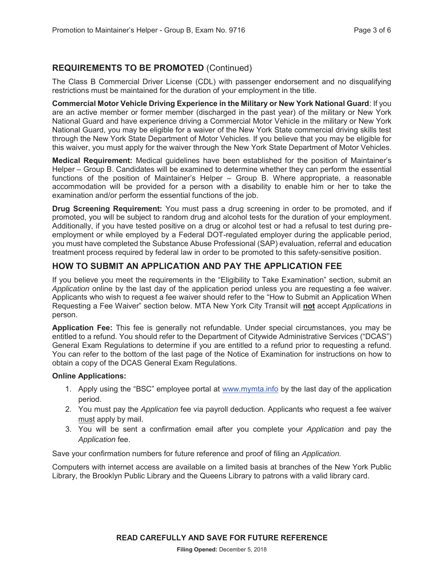# **REQUIREMENTS TO BE PROMOTED** (Continued)

The Class B Commercial Driver License (CDL) with passenger endorsement and no disqualifying restrictions must be maintained for the duration of your employment in the title.

**Commercial Motor Vehicle Driving Experience in the Military or New York National Guard**: If you are an active member or former member (discharged in the past year) of the military or New York National Guard and have experience driving a Commercial Motor Vehicle in the military or New York National Guard, you may be eligible for a waiver of the New York State commercial driving skills test through the New York State Department of Motor Vehicles. If you believe that you may be eligible for this waiver, you must apply for the waiver through the New York State Department of Motor Vehicles.

**Medical Requirement:** Medical guidelines have been established for the position of Maintainer's Helper – Group B. Candidates will be examined to determine whether they can perform the essential functions of the position of Maintainer's Helper – Group B. Where appropriate, a reasonable accommodation will be provided for a person with a disability to enable him or her to take the examination and/or perform the essential functions of the job.

**Drug Screening Requirement:** You must pass a drug screening in order to be promoted, and if promoted, you will be subject to random drug and alcohol tests for the duration of your employment. Additionally, if you have tested positive on a drug or alcohol test or had a refusal to test during preemployment or while employed by a Federal DOT-regulated employer during the applicable period, you must have completed the Substance Abuse Professional (SAP) evaluation, referral and education treatment process required by federal law in order to be promoted to this safety-sensitive position.

### **HOW TO SUBMIT AN APPLICATION AND PAY THE APPLICATION FEE**

If you believe you meet the requirements in the "Eligibility to Take Examination" section, submit an *Application* online by the last day of the application period unless you are requesting a fee waiver. Applicants who wish to request a fee waiver should refer to the "How to Submit an Application When Requesting a Fee Waiver" section below. MTA New York City Transit will **not** accept *Applications* in person.

**Application Fee:** This fee is generally not refundable. Under special circumstances, you may be entitled to a refund. You should refer to the Department of Citywide Administrative Services ("DCAS") General Exam Regulations to determine if you are entitled to a refund prior to requesting a refund. You can refer to the bottom of the last page of the Notice of Examination for instructions on how to obtain a copy of the DCAS General Exam Regulations.

#### **Online Applications:**

- 1. Apply using the "BSC" employee portal at www.mymta.info by the last day of the application period.
- 2. You must pay the *Application* fee via payroll deduction. Applicants who request a fee waiver must apply by mail.
- 3. You will be sent a confirmation email after you complete your *Application* and pay the *Application* fee.

Save your confirmation numbers for future reference and proof of filing an *Application.*

Computers with internet access are available on a limited basis at branches of the New York Public Library, the Brooklyn Public Library and the Queens Library to patrons with a valid library card.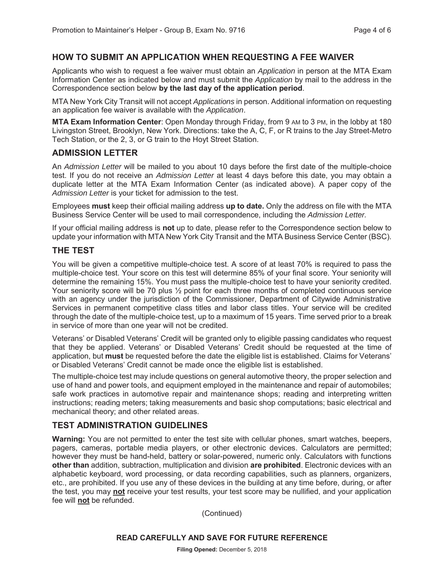#### **HOW TO SUBMIT AN APPLICATION WHEN REQUESTING A FEE WAIVER**

Applicants who wish to request a fee waiver must obtain an *Application* in person at the MTA Exam Information Center as indicated below and must submit the *Application* by mail to the address in the Correspondence section below **by the last day of the application period**.

MTA New York City Transit will not accept *Applications* in person. Additional information on requesting an application fee waiver is available with the *Application*.

**MTA Exam Information Center**: Open Monday through Friday, from 9 AM to 3 PM, in the lobby at 180 Livingston Street, Brooklyn, New York. Directions: take the A, C, F, or R trains to the Jay Street-Metro Tech Station, or the 2, 3, or G train to the Hoyt Street Station.

#### **ADMISSION LETTER**

An *Admission Letter* will be mailed to you about 10 days before the first date of the multiple-choice test. If you do not receive an *Admission Letter* at least 4 days before this date, you may obtain a duplicate letter at the MTA Exam Information Center (as indicated above). A paper copy of the *Admission Letter* is your ticket for admission to the test.

Employees **must** keep their official mailing address **up to date.** Only the address on file with the MTA Business Service Center will be used to mail correspondence, including the *Admission Letter.*

If your official mailing address is **not** up to date, please refer to the Correspondence section below to update your information with MTA New York City Transit and the MTA Business Service Center (BSC).

#### **THE TEST**

You will be given a competitive multiple-choice test. A score of at least 70% is required to pass the multiple-choice test. Your score on this test will determine 85% of your final score. Your seniority will determine the remaining 15%. You must pass the multiple-choice test to have your seniority credited. Your seniority score will be 70 plus ½ point for each three months of completed continuous service with an agency under the jurisdiction of the Commissioner, Department of Citywide Administrative Services in permanent competitive class titles and labor class titles. Your service will be credited through the date of the multiple-choice test, up to a maximum of 15 years. Time served prior to a break in service of more than one year will not be credited.

Veterans' or Disabled Veterans' Credit will be granted only to eligible passing candidates who request that they be applied. Veterans' or Disabled Veterans' Credit should be requested at the time of application, but **must** be requested before the date the eligible list is established. Claims for Veterans' or Disabled Veterans' Credit cannot be made once the eligible list is established.

The multiple-choice test may include questions on general automotive theory, the proper selection and use of hand and power tools, and equipment employed in the maintenance and repair of automobiles; safe work practices in automotive repair and maintenance shops; reading and interpreting written instructions; reading meters; taking measurements and basic shop computations; basic electrical and mechanical theory; and other related areas.

#### **TEST ADMINISTRATION GUIDELINES**

**Warning:** You are not permitted to enter the test site with cellular phones, smart watches, beepers, pagers, cameras, portable media players, or other electronic devices. Calculators are permitted; however they must be hand-held, battery or solar-powered, numeric only. Calculators with functions **other than** addition, subtraction, multiplication and division **are prohibited**. Electronic devices with an alphabetic keyboard, word processing, or data recording capabilities, such as planners, organizers, etc., are prohibited. If you use any of these devices in the building at any time before, during, or after the test, you may **not** receive your test results, your test score may be nullified, and your application fee will **not** be refunded.

(Continued)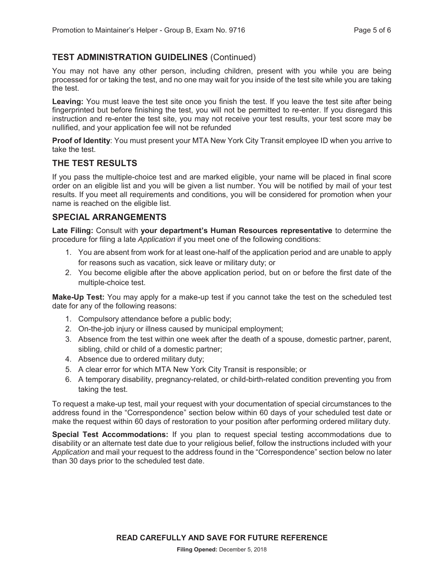# **TEST ADMINISTRATION GUIDELINES** (Continued)

You may not have any other person, including children, present with you while you are being processed for or taking the test, and no one may wait for you inside of the test site while you are taking the test.

**Leaving:** You must leave the test site once you finish the test. If you leave the test site after being fingerprinted but before finishing the test, you will not be permitted to re-enter. If you disregard this instruction and re-enter the test site, you may not receive your test results, your test score may be nullified, and your application fee will not be refunded

**Proof of Identity**: You must present your MTA New York City Transit employee ID when you arrive to take the test.

#### **THE TEST RESULTS**

If you pass the multiple-choice test and are marked eligible, your name will be placed in final score order on an eligible list and you will be given a list number. You will be notified by mail of your test results. If you meet all requirements and conditions, you will be considered for promotion when your name is reached on the eligible list.

#### **SPECIAL ARRANGEMENTS**

**Late Filing:** Consult with **your department's Human Resources representative** to determine the procedure for filing a late *Application* if you meet one of the following conditions:

- 1. You are absent from work for at least one-half of the application period and are unable to apply for reasons such as vacation, sick leave or military duty; or
- 2. You become eligible after the above application period, but on or before the first date of the multiple-choice test.

**Make-Up Test:** You may apply for a make-up test if you cannot take the test on the scheduled test date for any of the following reasons:

- 1. Compulsory attendance before a public body;
- 2. On-the-job injury or illness caused by municipal employment;
- 3. Absence from the test within one week after the death of a spouse, domestic partner, parent, sibling, child or child of a domestic partner;
- 4. Absence due to ordered military duty;
- 5. A clear error for which MTA New York City Transit is responsible; or
- 6. A temporary disability, pregnancy-related, or child-birth-related condition preventing you from taking the test.

To request a make-up test, mail your request with your documentation of special circumstances to the address found in the "Correspondence" section below within 60 days of your scheduled test date or make the request within 60 days of restoration to your position after performing ordered military duty.

**Special Test Accommodations:** If you plan to request special testing accommodations due to disability or an alternate test date due to your religious belief, follow the instructions included with your *Application* and mail your request to the address found in the "Correspondence" section below no later than 30 days prior to the scheduled test date.